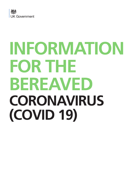

# **INFORMATION FOR THE BEREAVED CORONAVIRUS (COVID 19)**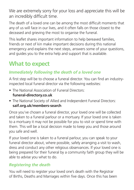We are extremely sorry for your loss and appreciate this will be an incredibly difficult time.

The death of a loved one can be among the most difficult moments that any of us will face in our lives, and it often falls on those closest to the deceased and grieving the most to organise the funeral.

This leaflet shares important information to help bereaved families, friends or next of kin make important decisions during this national emergency and explains the next steps, answers some of your questions, and guides you to the extra help and support that is available.

# **What to expect**

### *Immediately following the death of a loved one*

A first step will be to choose a funeral director. You can find an industryinspected local funeral director via the following websites:

- The National Association of Funeral Directors: **[funeral-directory.co.uk](http://www.funeral-directory.co.uk)**
- The National Society of Allied and Independent Funeral Directors: **[saif.org.uk/members-search](http://www.saif.org.uk/members-search)**

Once you've chosen a funeral director, your loved one will be collected and taken to a funeral parlour or a mortuary. If your loved one is taken to a mortuary it may not be possible for you to visit or spend time with them. This will be a local decision made to keep you and those around you safe and well.

If your loved one is taken to a funeral parlour, you can speak to your funeral director about, where possible, safely arranging a visit to wash, dress and conduct any other religious observances. If your loved one is being prepared for their funeral by a community faith group they will be able to advise you what to do.

## *Registering the death*

You will need to register your loved one's death with the Registrar of Births, Deaths and Marriages within five days. Once this has been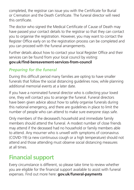completed, the registrar can issue you with the Certificate for Burial or Cremation and the Death Certificate. The funeral director will need this certificate.

The doctor who signed the Medical Certificate of Cause of Death may have passed your contact details to the registrar so that they can contact you to organise the registration. However, you may want to contact the Register Office early on so the registration process can be completed and you can proceed with the funeral arrangements.

Further details about how to contact your local Register Office and their services can be found from your local council by visiting:

#### **[gov.uk/find-bereavement-services-from-council](https://www.gov.uk/find-bereavement-services-from-council)**

## *Preparing for the funeral*

During this difficult period many families are opting to have smaller funerals that follow the social distancing guidelines now, while planning additional memorial events at a later date.

If you have a nominated funeral director who is collecting your loved one, they will contact you to arrange the funeral. Funeral directors have been given advice about how to safely organise funerals during this national emergency, and there are guidelines in place to limit the number of people who can attend to make sure everyone stays safe.

Only members of the deceased's household and immediate family members should attend the funeral. A modest number of close friends may attend if the deceased had no household or family members able to attend. Any mourner who is unwell with symptoms of coronavirus (COVID-19) (a new continuous cough or a high temperature) should not attend and those attending must observe social distancing measures at all times.

# **Financial support**

Every circumstance is different, so please take time to review whether you are eligible for the financial support available to assist with funeral expenses. Find out more here: **[gov.uk/funeral-payments](https://www.gov.uk/funeral-payments)**